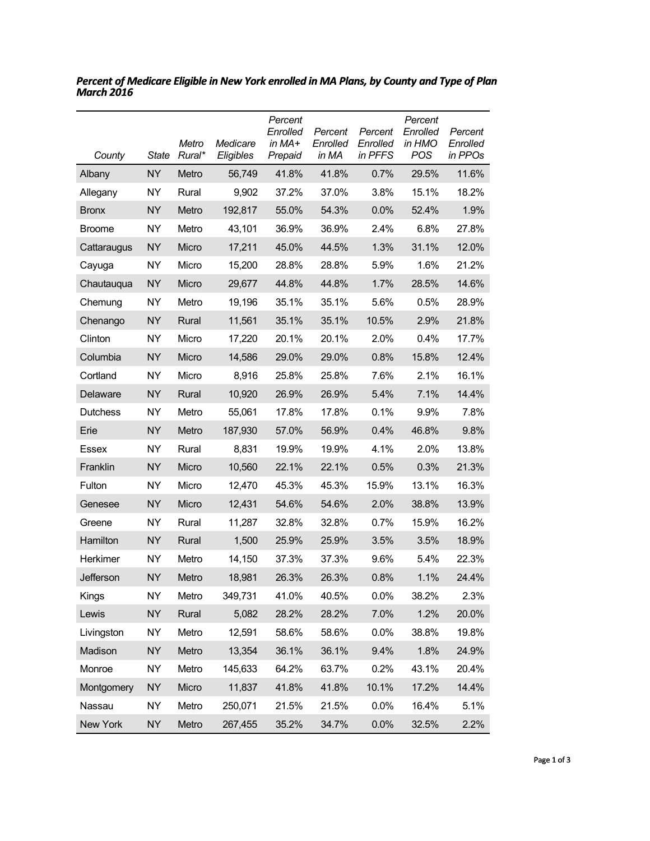| County          | <b>State</b> | Metro<br>Rural* | Medicare<br>Eligibles | Percent<br>Enrolled<br>in $MA+$<br>Prepaid | Percent<br>Enrolled<br>in MA | Percent<br>Enrolled<br>in PFFS | Percent<br>Enrolled<br>in HMO<br><b>POS</b> | Percent<br>Enrolled<br>in PPOs |
|-----------------|--------------|-----------------|-----------------------|--------------------------------------------|------------------------------|--------------------------------|---------------------------------------------|--------------------------------|
| Albany          | <b>NY</b>    | Metro           | 56,749                | 41.8%                                      | 41.8%                        | 0.7%                           | 29.5%                                       | 11.6%                          |
| Allegany        | NY           | Rural           | 9,902                 | 37.2%                                      | 37.0%                        | 3.8%                           | 15.1%                                       | 18.2%                          |
| <b>Bronx</b>    | <b>NY</b>    | Metro           | 192,817               | 55.0%                                      | 54.3%                        | 0.0%                           | 52.4%                                       | 1.9%                           |
| <b>Broome</b>   | NY           | Metro           | 43,101                | 36.9%                                      | 36.9%                        | 2.4%                           | 6.8%                                        | 27.8%                          |
| Cattaraugus     | <b>NY</b>    | Micro           | 17,211                | 45.0%                                      | 44.5%                        | 1.3%                           | 31.1%                                       | 12.0%                          |
| Cayuga          | <b>NY</b>    | Micro           | 15,200                | 28.8%                                      | 28.8%                        | 5.9%                           | 1.6%                                        | 21.2%                          |
| Chautauqua      | <b>NY</b>    | Micro           | 29,677                | 44.8%                                      | 44.8%                        | 1.7%                           | 28.5%                                       | 14.6%                          |
| Chemung         | <b>NY</b>    | Metro           | 19,196                | 35.1%                                      | 35.1%                        | 5.6%                           | 0.5%                                        | 28.9%                          |
| Chenango        | <b>NY</b>    | Rural           | 11,561                | 35.1%                                      | 35.1%                        | 10.5%                          | 2.9%                                        | 21.8%                          |
| Clinton         | <b>NY</b>    | Micro           | 17,220                | 20.1%                                      | 20.1%                        | 2.0%                           | 0.4%                                        | 17.7%                          |
| Columbia        | <b>NY</b>    | Micro           | 14,586                | 29.0%                                      | 29.0%                        | 0.8%                           | 15.8%                                       | 12.4%                          |
| Cortland        | NY           | Micro           | 8,916                 | 25.8%                                      | 25.8%                        | 7.6%                           | 2.1%                                        | 16.1%                          |
| Delaware        | <b>NY</b>    | Rural           | 10,920                | 26.9%                                      | 26.9%                        | 5.4%                           | 7.1%                                        | 14.4%                          |
| <b>Dutchess</b> | NY           | Metro           | 55,061                | 17.8%                                      | 17.8%                        | 0.1%                           | 9.9%                                        | 7.8%                           |
| Erie            | <b>NY</b>    | Metro           | 187,930               | 57.0%                                      | 56.9%                        | 0.4%                           | 46.8%                                       | 9.8%                           |
| Essex           | <b>NY</b>    | Rural           | 8,831                 | 19.9%                                      | 19.9%                        | 4.1%                           | 2.0%                                        | 13.8%                          |
| Franklin        | <b>NY</b>    | Micro           | 10,560                | 22.1%                                      | 22.1%                        | 0.5%                           | 0.3%                                        | 21.3%                          |
| Fulton          | <b>NY</b>    | Micro           | 12,470                | 45.3%                                      | 45.3%                        | 15.9%                          | 13.1%                                       | 16.3%                          |
| Genesee         | <b>NY</b>    | Micro           | 12,431                | 54.6%                                      | 54.6%                        | 2.0%                           | 38.8%                                       | 13.9%                          |
| Greene          | NY           | Rural           | 11,287                | 32.8%                                      | 32.8%                        | 0.7%                           | 15.9%                                       | 16.2%                          |
| Hamilton        | <b>NY</b>    | Rural           | 1,500                 | 25.9%                                      | 25.9%                        | 3.5%                           | 3.5%                                        | 18.9%                          |
| Herkimer        | <b>NY</b>    | Metro           | 14,150                | 37.3%                                      | 37.3%                        | 9.6%                           | 5.4%                                        | 22.3%                          |
| Jefferson       | <b>NY</b>    | Metro           | 18,981                | 26.3%                                      | 26.3%                        | 0.8%                           | 1.1%                                        | 24.4%                          |
| Kings           | <b>NY</b>    | Metro           | 349,731               | 41.0%                                      | 40.5%                        | 0.0%                           | 38.2%                                       | 2.3%                           |
| Lewis           | <b>NY</b>    | Rural           | 5,082                 | 28.2%                                      | 28.2%                        | 7.0%                           | 1.2%                                        | 20.0%                          |
| Livingston      | <b>NY</b>    | Metro           | 12,591                | 58.6%                                      | 58.6%                        | 0.0%                           | 38.8%                                       | 19.8%                          |
| Madison         | <b>NY</b>    | Metro           | 13,354                | 36.1%                                      | 36.1%                        | 9.4%                           | 1.8%                                        | 24.9%                          |
| Monroe          | <b>NY</b>    | Metro           | 145,633               | 64.2%                                      | 63.7%                        | 0.2%                           | 43.1%                                       | 20.4%                          |
| Montgomery      | <b>NY</b>    | Micro           | 11,837                | 41.8%                                      | 41.8%                        | 10.1%                          | 17.2%                                       | 14.4%                          |
| Nassau          | <b>NY</b>    | Metro           | 250,071               | 21.5%                                      | 21.5%                        | 0.0%                           | 16.4%                                       | 5.1%                           |
| New York        | <b>NY</b>    | Metro           | 267,455               | 35.2%                                      | 34.7%                        | 0.0%                           | 32.5%                                       | 2.2%                           |

*Percent of Medicare Eligible in New York enrolled in MA Plans, by County and Type of Plan March 2016*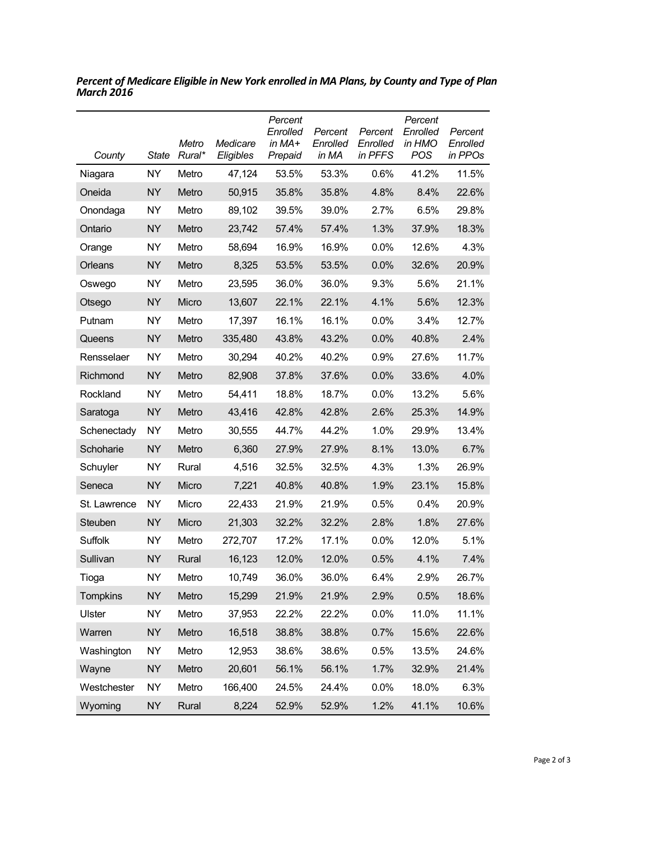| County        | <b>State</b> | Metro<br>Rural* | Medicare<br>Eligibles | Percent<br>Enrolled<br>in MA+<br>Prepaid | Percent<br>Enrolled<br>in MA | Percent<br>Enrolled<br>in PFFS | Percent<br>Enrolled<br>in HMO<br>POS | Percent<br>Enrolled<br>in PPOs |
|---------------|--------------|-----------------|-----------------------|------------------------------------------|------------------------------|--------------------------------|--------------------------------------|--------------------------------|
| Niagara       | NY.          | Metro           | 47,124                | 53.5%                                    | 53.3%                        | 0.6%                           | 41.2%                                | 11.5%                          |
| Oneida        | <b>NY</b>    | Metro           | 50,915                | 35.8%                                    | 35.8%                        | 4.8%                           | 8.4%                                 | 22.6%                          |
| Onondaga      | NY           | Metro           | 89,102                | 39.5%                                    | 39.0%                        | 2.7%                           | 6.5%                                 | 29.8%                          |
| Ontario       | <b>NY</b>    | Metro           | 23,742                | 57.4%                                    | 57.4%                        | 1.3%                           | 37.9%                                | 18.3%                          |
| Orange        | <b>NY</b>    | Metro           | 58,694                | 16.9%                                    | 16.9%                        | 0.0%                           | 12.6%                                | 4.3%                           |
| Orleans       | <b>NY</b>    | Metro           | 8,325                 | 53.5%                                    | 53.5%                        | 0.0%                           | 32.6%                                | 20.9%                          |
| Oswego        | NΥ           | Metro           | 23,595                | 36.0%                                    | 36.0%                        | 9.3%                           | 5.6%                                 | 21.1%                          |
| Otsego        | <b>NY</b>    | Micro           | 13,607                | 22.1%                                    | 22.1%                        | 4.1%                           | 5.6%                                 | 12.3%                          |
| Putnam        | <b>NY</b>    | Metro           | 17,397                | 16.1%                                    | 16.1%                        | 0.0%                           | 3.4%                                 | 12.7%                          |
| Queens        | <b>NY</b>    | Metro           | 335,480               | 43.8%                                    | 43.2%                        | 0.0%                           | 40.8%                                | 2.4%                           |
| Rensselaer    | NΥ           | Metro           | 30,294                | 40.2%                                    | 40.2%                        | 0.9%                           | 27.6%                                | 11.7%                          |
| Richmond      | <b>NY</b>    | Metro           | 82,908                | 37.8%                                    | 37.6%                        | 0.0%                           | 33.6%                                | 4.0%                           |
| Rockland      | <b>NY</b>    | Metro           | 54,411                | 18.8%                                    | 18.7%                        | 0.0%                           | 13.2%                                | 5.6%                           |
| Saratoga      | <b>NY</b>    | Metro           | 43,416                | 42.8%                                    | 42.8%                        | 2.6%                           | 25.3%                                | 14.9%                          |
| Schenectady   | <b>NY</b>    | Metro           | 30,555                | 44.7%                                    | 44.2%                        | 1.0%                           | 29.9%                                | 13.4%                          |
| Schoharie     | <b>NY</b>    | Metro           | 6,360                 | 27.9%                                    | 27.9%                        | 8.1%                           | 13.0%                                | 6.7%                           |
| Schuyler      | <b>NY</b>    | Rural           | 4,516                 | 32.5%                                    | 32.5%                        | 4.3%                           | 1.3%                                 | 26.9%                          |
| Seneca        | <b>NY</b>    | Micro           | 7,221                 | 40.8%                                    | 40.8%                        | 1.9%                           | 23.1%                                | 15.8%                          |
| St. Lawrence  | <b>NY</b>    | Micro           | 22,433                | 21.9%                                    | 21.9%                        | 0.5%                           | 0.4%                                 | 20.9%                          |
| Steuben       | <b>NY</b>    | Micro           | 21,303                | 32.2%                                    | 32.2%                        | 2.8%                           | 1.8%                                 | 27.6%                          |
| Suffolk       | <b>NY</b>    | Metro           | 272,707               | 17.2%                                    | 17.1%                        | 0.0%                           | 12.0%                                | 5.1%                           |
| Sullivan      | <b>NY</b>    | Rural           | 16,123                | 12.0%                                    | 12.0%                        | 0.5%                           | 4.1%                                 | 7.4%                           |
| Tioga         | <b>NY</b>    | Metro           | 10,749                | 36.0%                                    | 36.0%                        | 6.4%                           | 2.9%                                 | 26.7%                          |
| Tompkins      | <b>NY</b>    | Metro           | 15,299                | 21.9%                                    | 21.9%                        | 2.9%                           | 0.5%                                 | 18.6%                          |
| <b>Ulster</b> | <b>NY</b>    | Metro           | 37,953                | 22.2%                                    | 22.2%                        | 0.0%                           | 11.0%                                | 11.1%                          |
| Warren        | <b>NY</b>    | Metro           | 16,518                | 38.8%                                    | 38.8%                        | 0.7%                           | 15.6%                                | 22.6%                          |
| Washington    | <b>NY</b>    | Metro           | 12,953                | 38.6%                                    | 38.6%                        | 0.5%                           | 13.5%                                | 24.6%                          |
| Wayne         | <b>NY</b>    | Metro           | 20,601                | 56.1%                                    | 56.1%                        | 1.7%                           | 32.9%                                | 21.4%                          |
| Westchester   | <b>NY</b>    | Metro           | 166,400               | 24.5%                                    | 24.4%                        | 0.0%                           | 18.0%                                | 6.3%                           |
| Wyoming       | <b>NY</b>    | Rural           | 8,224                 | 52.9%                                    | 52.9%                        | 1.2%                           | 41.1%                                | 10.6%                          |

*Percent of Medicare Eligible in New York enrolled in MA Plans, by County and Type of Plan March 2016*